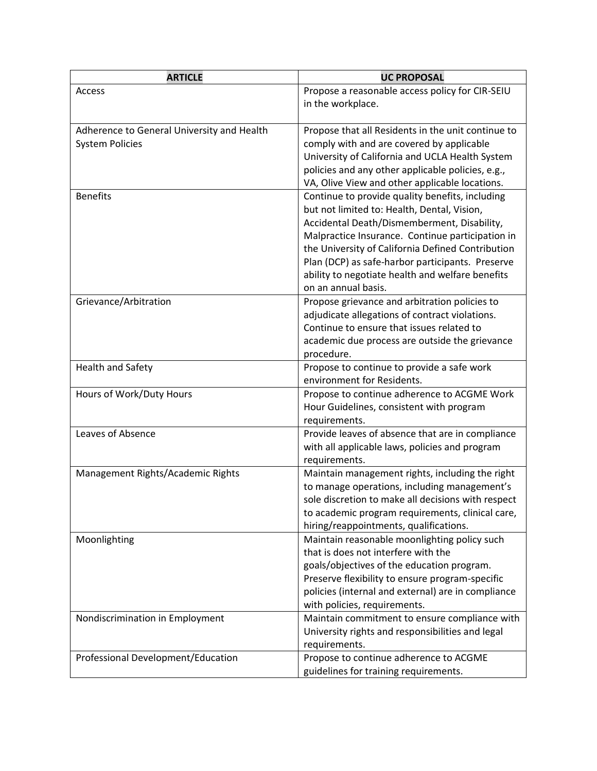| <b>ARTICLE</b>                             | <b>UC PROPOSAL</b>                                                                  |
|--------------------------------------------|-------------------------------------------------------------------------------------|
| Access                                     | Propose a reasonable access policy for CIR-SEIU                                     |
|                                            | in the workplace.                                                                   |
|                                            |                                                                                     |
| Adherence to General University and Health | Propose that all Residents in the unit continue to                                  |
| <b>System Policies</b>                     | comply with and are covered by applicable                                           |
|                                            | University of California and UCLA Health System                                     |
|                                            | policies and any other applicable policies, e.g.,                                   |
|                                            | VA, Olive View and other applicable locations.                                      |
| <b>Benefits</b>                            | Continue to provide quality benefits, including                                     |
|                                            | but not limited to: Health, Dental, Vision,                                         |
|                                            | Accidental Death/Dismemberment, Disability,                                         |
|                                            | Malpractice Insurance. Continue participation in                                    |
|                                            | the University of California Defined Contribution                                   |
|                                            | Plan (DCP) as safe-harbor participants. Preserve                                    |
|                                            | ability to negotiate health and welfare benefits<br>on an annual basis.             |
| Grievance/Arbitration                      | Propose grievance and arbitration policies to                                       |
|                                            | adjudicate allegations of contract violations.                                      |
|                                            | Continue to ensure that issues related to                                           |
|                                            | academic due process are outside the grievance                                      |
|                                            | procedure.                                                                          |
| Health and Safety                          | Propose to continue to provide a safe work                                          |
|                                            | environment for Residents.                                                          |
| Hours of Work/Duty Hours                   | Propose to continue adherence to ACGME Work                                         |
|                                            | Hour Guidelines, consistent with program                                            |
|                                            | requirements.                                                                       |
| Leaves of Absence                          | Provide leaves of absence that are in compliance                                    |
|                                            | with all applicable laws, policies and program                                      |
|                                            | requirements.                                                                       |
| Management Rights/Academic Rights          | Maintain management rights, including the right                                     |
|                                            | to manage operations, including management's                                        |
|                                            | sole discretion to make all decisions with respect                                  |
|                                            | to academic program requirements, clinical care,                                    |
|                                            | hiring/reappointments, qualifications.                                              |
| Moonlighting                               | Maintain reasonable moonlighting policy such<br>that is does not interfere with the |
|                                            | goals/objectives of the education program.                                          |
|                                            | Preserve flexibility to ensure program-specific                                     |
|                                            | policies (internal and external) are in compliance                                  |
|                                            | with policies, requirements.                                                        |
| Nondiscrimination in Employment            | Maintain commitment to ensure compliance with                                       |
|                                            | University rights and responsibilities and legal                                    |
|                                            | requirements.                                                                       |
| Professional Development/Education         | Propose to continue adherence to ACGME                                              |
|                                            | guidelines for training requirements.                                               |